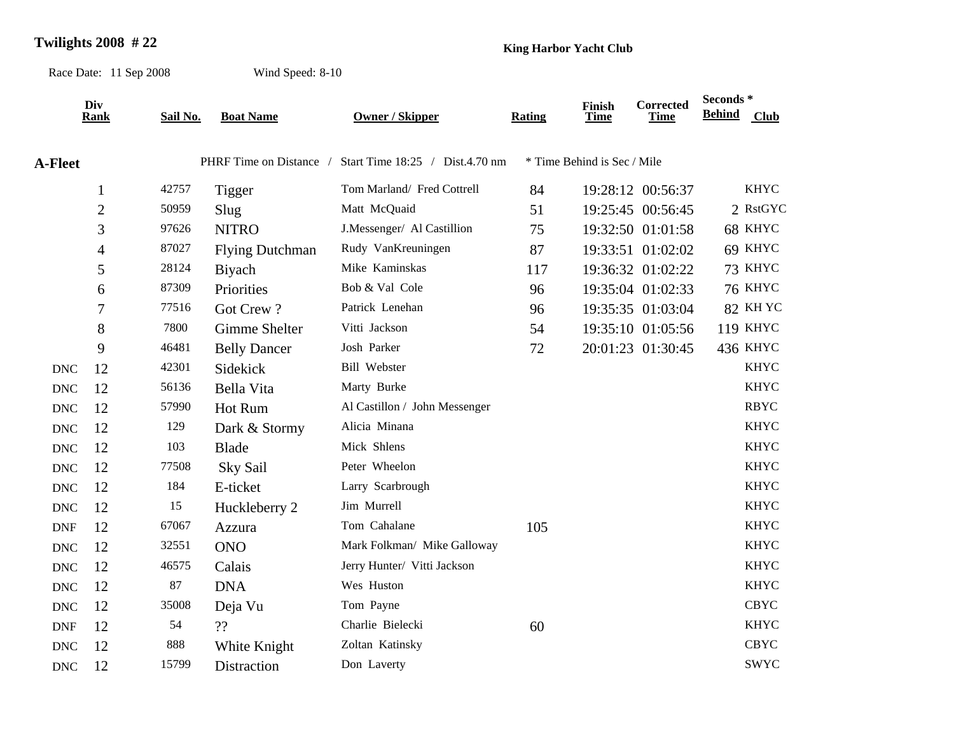## **Twilights 2008 # 22 King Harbor Yacht Club**

Race Date: 11 Sep 2008

Wind Speed: 8-10

|                           | Div            |          | <b>Boat Name</b>        | <b>Owner / Skipper</b>          | <b>Rating</b> | Finish<br><b>Time</b>       | Corrected<br><b>Time</b> | Seconds *     |                 |
|---------------------------|----------------|----------|-------------------------|---------------------------------|---------------|-----------------------------|--------------------------|---------------|-----------------|
|                           | <b>Rank</b>    | Sail No. |                         |                                 |               |                             |                          | <b>Behind</b> | Club            |
| <b>A-Fleet</b>            |                |          | PHRF Time on Distance / | Start Time 18:25 / Dist.4.70 nm |               | * Time Behind is Sec / Mile |                          |               |                 |
|                           | $\mathbf{1}$   | 42757    | Tigger                  | Tom Marland/ Fred Cottrell      | 84            |                             | 19:28:12 00:56:37        |               | <b>KHYC</b>     |
|                           | $\overline{2}$ | 50959    | Slug                    | Matt McQuaid                    | 51            |                             | 19:25:45 00:56:45        |               | 2 RstGYC        |
|                           | 3              | 97626    | <b>NITRO</b>            | J.Messenger/ Al Castillion      | 75            |                             | 19:32:50 01:01:58        |               | 68 KHYC         |
|                           | 4              | 87027    | <b>Flying Dutchman</b>  | Rudy VanKreuningen              | 87            |                             | 19:33:51 01:02:02        |               | 69 KHYC         |
|                           | 5              | 28124    | Biyach                  | Mike Kaminskas                  | 117           |                             | 19:36:32 01:02:22        |               | 73 KHYC         |
|                           | 6              | 87309    | Priorities              | Bob & Val Cole                  | 96            |                             | 19:35:04 01:02:33        |               | <b>76 KHYC</b>  |
|                           | 7              | 77516    | Got Crew?               | Patrick Lenehan                 | 96            |                             | 19:35:35 01:03:04        |               | 82 KHYC         |
|                           | 8              | 7800     | Gimme Shelter           | Vitti Jackson                   | 54            |                             | 19:35:10 01:05:56        |               | <b>119 KHYC</b> |
|                           | 9              | 46481    | <b>Belly Dancer</b>     | Josh Parker                     | 72            |                             | 20:01:23 01:30:45        |               | 436 KHYC        |
| <b>DNC</b>                | 12             | 42301    | Sidekick                | <b>Bill Webster</b>             |               |                             |                          |               | <b>KHYC</b>     |
| <b>DNC</b>                | 12             | 56136    | Bella Vita              | Marty Burke                     |               |                             |                          |               | <b>KHYC</b>     |
| $\ensuremath{\text{DNC}}$ | 12             | 57990    | Hot Rum                 | Al Castillon / John Messenger   |               |                             |                          |               | <b>RBYC</b>     |
| $\ensuremath{\text{DNC}}$ | 12             | 129      | Dark & Stormy           | Alicia Minana                   |               |                             |                          |               | <b>KHYC</b>     |
| <b>DNC</b>                | 12             | 103      | <b>Blade</b>            | Mick Shlens                     |               |                             |                          |               | <b>KHYC</b>     |
| $\ensuremath{\text{DNC}}$ | 12             | 77508    | Sky Sail                | Peter Wheelon                   |               |                             |                          |               | <b>KHYC</b>     |
| <b>DNC</b>                | 12             | 184      | E-ticket                | Larry Scarbrough                |               |                             |                          |               | <b>KHYC</b>     |
| $\ensuremath{\text{DNC}}$ | 12             | 15       | Huckleberry 2           | Jim Murrell                     |               |                             |                          |               | <b>KHYC</b>     |
| <b>DNF</b>                | 12             | 67067    | Azzura                  | Tom Cahalane                    | 105           |                             |                          |               | <b>KHYC</b>     |
| <b>DNC</b>                | 12             | 32551    | <b>ONO</b>              | Mark Folkman/ Mike Galloway     |               |                             |                          |               | <b>KHYC</b>     |
| <b>DNC</b>                | 12             | 46575    | Calais                  | Jerry Hunter/ Vitti Jackson     |               |                             |                          |               | <b>KHYC</b>     |
| <b>DNC</b>                | 12             | 87       | <b>DNA</b>              | Wes Huston                      |               |                             |                          |               | <b>KHYC</b>     |
| <b>DNC</b>                | 12             | 35008    | Deja Vu                 | Tom Payne                       |               |                             |                          |               | <b>CBYC</b>     |
| <b>DNF</b>                | 12             | 54       | ??                      | Charlie Bielecki                | 60            |                             |                          |               | <b>KHYC</b>     |
| <b>DNC</b>                | 12             | 888      | White Knight            | Zoltan Katinsky                 |               |                             |                          |               | <b>CBYC</b>     |
| <b>DNC</b>                | 12             | 15799    | Distraction             | Don Laverty                     |               |                             |                          |               | <b>SWYC</b>     |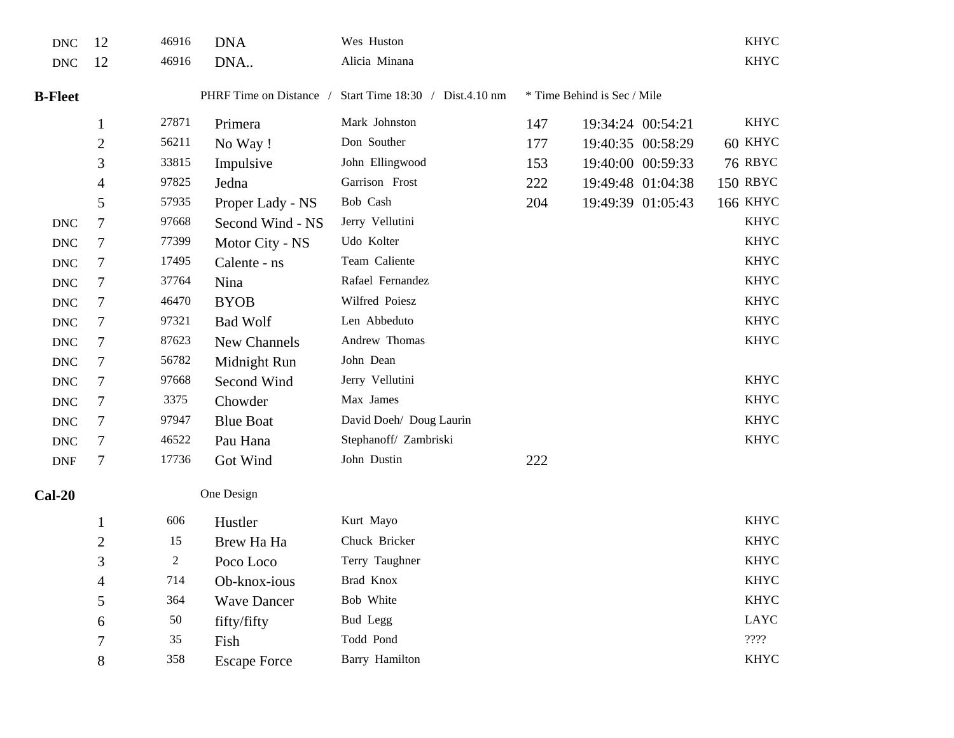| <b>DNC</b>     | 12           | 46916 | <b>DNA</b>              | Wes Huston                      |     |                             | <b>KHYC</b>     |
|----------------|--------------|-------|-------------------------|---------------------------------|-----|-----------------------------|-----------------|
| <b>DNC</b>     | 12           | 46916 | DNA                     | Alicia Minana                   |     |                             | <b>KHYC</b>     |
| <b>B-Fleet</b> |              |       | PHRF Time on Distance / | Start Time 18:30 / Dist.4.10 nm |     | * Time Behind is Sec / Mile |                 |
|                | $\mathbf{1}$ | 27871 | Primera                 | Mark Johnston                   | 147 | 19:34:24 00:54:21           | <b>KHYC</b>     |
|                | $\mathbf{2}$ | 56211 | No Way!                 | Don Souther                     | 177 | 19:40:35 00:58:29           | 60 KHYC         |
|                | 3            | 33815 | Impulsive               | John Ellingwood                 | 153 | 19:40:00 00:59:33           | <b>76 RBYC</b>  |
|                | 4            | 97825 | Jedna                   | Garrison Frost                  | 222 | 19:49:48 01:04:38           | 150 RBYC        |
|                | 5            | 57935 | Proper Lady - NS        | Bob Cash                        | 204 | 19:49:39 01:05:43           | <b>166 KHYC</b> |
| <b>DNC</b>     | 7            | 97668 | Second Wind - NS        | Jerry Vellutini                 |     |                             | <b>KHYC</b>     |
| <b>DNC</b>     | 7            | 77399 | Motor City - NS         | Udo Kolter                      |     |                             | <b>KHYC</b>     |
| <b>DNC</b>     | 7            | 17495 | Calente - ns            | Team Caliente                   |     |                             | <b>KHYC</b>     |
| <b>DNC</b>     | 7            | 37764 | Nina                    | Rafael Fernandez                |     |                             | <b>KHYC</b>     |
| <b>DNC</b>     | 7            | 46470 | <b>BYOB</b>             | Wilfred Poiesz                  |     |                             | <b>KHYC</b>     |
| <b>DNC</b>     | 7            | 97321 | <b>Bad Wolf</b>         | Len Abbeduto                    |     |                             | <b>KHYC</b>     |
| <b>DNC</b>     | 7            | 87623 | New Channels            | Andrew Thomas                   |     |                             | <b>KHYC</b>     |
| <b>DNC</b>     | 7            | 56782 | Midnight Run            | John Dean                       |     |                             |                 |
| <b>DNC</b>     | 7            | 97668 | Second Wind             | Jerry Vellutini                 |     |                             | <b>KHYC</b>     |
| <b>DNC</b>     | 7            | 3375  | Chowder                 | Max James                       |     |                             | <b>KHYC</b>     |
| <b>DNC</b>     | 7            | 97947 | <b>Blue Boat</b>        | David Doeh/ Doug Laurin         |     |                             | <b>KHYC</b>     |
| <b>DNC</b>     | 7            | 46522 | Pau Hana                | Stephanoff/ Zambriski           |     |                             | <b>KHYC</b>     |
| <b>DNF</b>     | 7            | 17736 | Got Wind                | John Dustin                     | 222 |                             |                 |
| $Cal-20$       |              |       | One Design              |                                 |     |                             |                 |
|                | $\mathbf{1}$ | 606   | Hustler                 | Kurt Mayo                       |     |                             | <b>KHYC</b>     |
|                | $\mathbf{2}$ | 15    | Brew Ha Ha              | Chuck Bricker                   |     |                             | <b>KHYC</b>     |
|                | 3            | 2     | Poco Loco               | Terry Taughner                  |     |                             | <b>KHYC</b>     |
|                | 4            | 714   | Ob-knox-ious            | Brad Knox                       |     |                             | <b>KHYC</b>     |
|                | 5            | 364   | <b>Wave Dancer</b>      | Bob White                       |     |                             | <b>KHYC</b>     |
|                | 6            | 50    | fifty/fifty             | Bud Legg                        |     |                             | LAYC            |
|                | 7            | 35    | Fish                    | Todd Pond                       |     |                             | 2222            |
|                | 8            | 358   | <b>Escape Force</b>     | Barry Hamilton                  |     |                             | <b>KHYC</b>     |